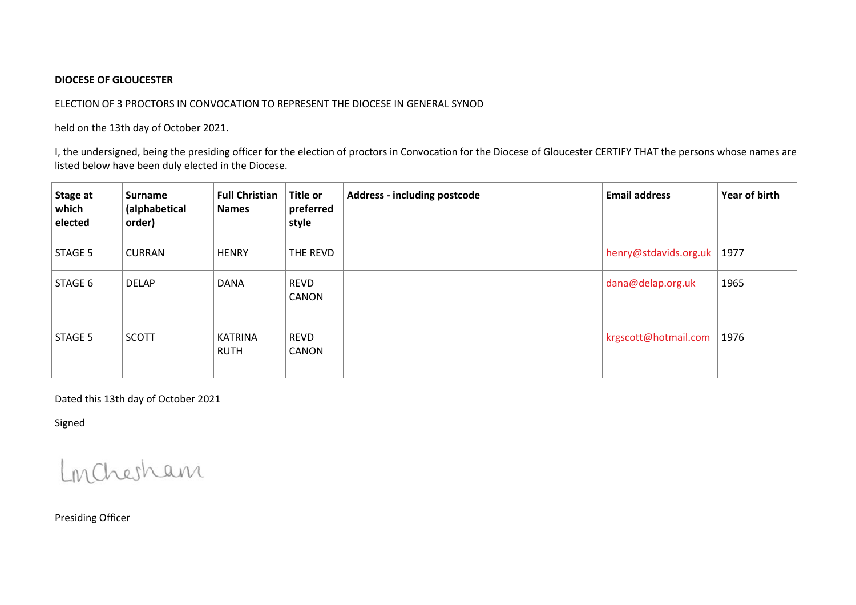## **DIOCESE OF GLOUCESTER**

## ELECTION OF 3 PROCTORS IN CONVOCATION TO REPRESENT THE DIOCESE IN GENERAL SYNOD

held on the 13th day of October 2021.

I, the undersigned, being the presiding officer for the election of proctors in Convocation for the Diocese of Gloucester CERTIFY THAT the persons whose names are listed below have been duly elected in the Diocese.

| Stage at<br>which<br>elected | <b>Surname</b><br>(alphabetical<br>order) | <b>Full Christian</b><br><b>Names</b> | <b>Title or</b><br>preferred<br>style | <b>Address - including postcode</b> | <b>Email address</b>  | Year of birth |
|------------------------------|-------------------------------------------|---------------------------------------|---------------------------------------|-------------------------------------|-----------------------|---------------|
| STAGE 5                      | <b>CURRAN</b>                             | <b>HENRY</b>                          | THE REVD                              |                                     | henry@stdavids.org.uk | 1977          |
| STAGE 6                      | DELAP                                     | <b>DANA</b>                           | <b>REVD</b><br>CANON                  |                                     | dana@delap.org.uk     | 1965          |
| STAGE 5                      | <b>SCOTT</b>                              | <b>KATRINA</b><br><b>RUTH</b>         | <b>REVD</b><br>CANON                  |                                     | krgscott@hotmail.com  | 1976          |

Dated this 13th day of October 2021

Signed

Londresham

Presiding Officer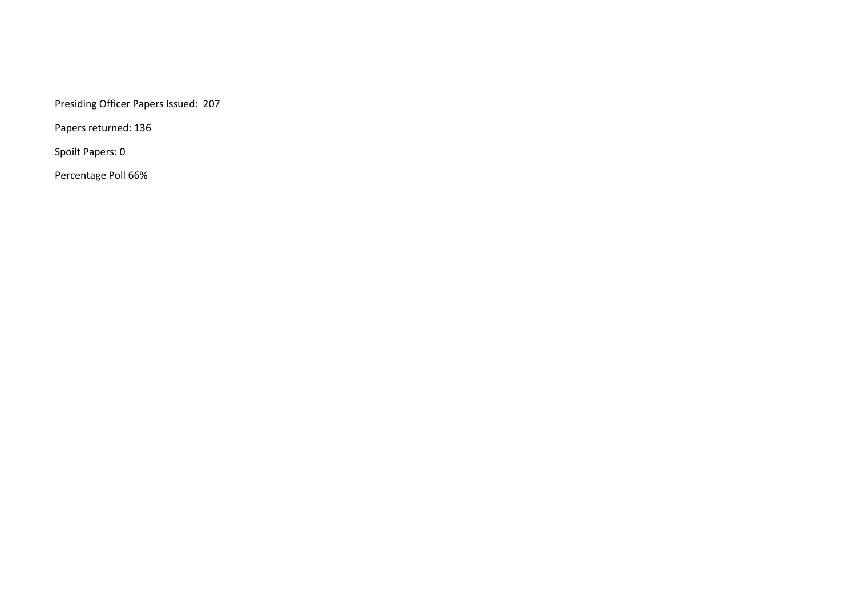Presiding Officer Papers Issued: 207

Papers returned: 136

Spoilt Papers: 0

Percentage Poll 66%